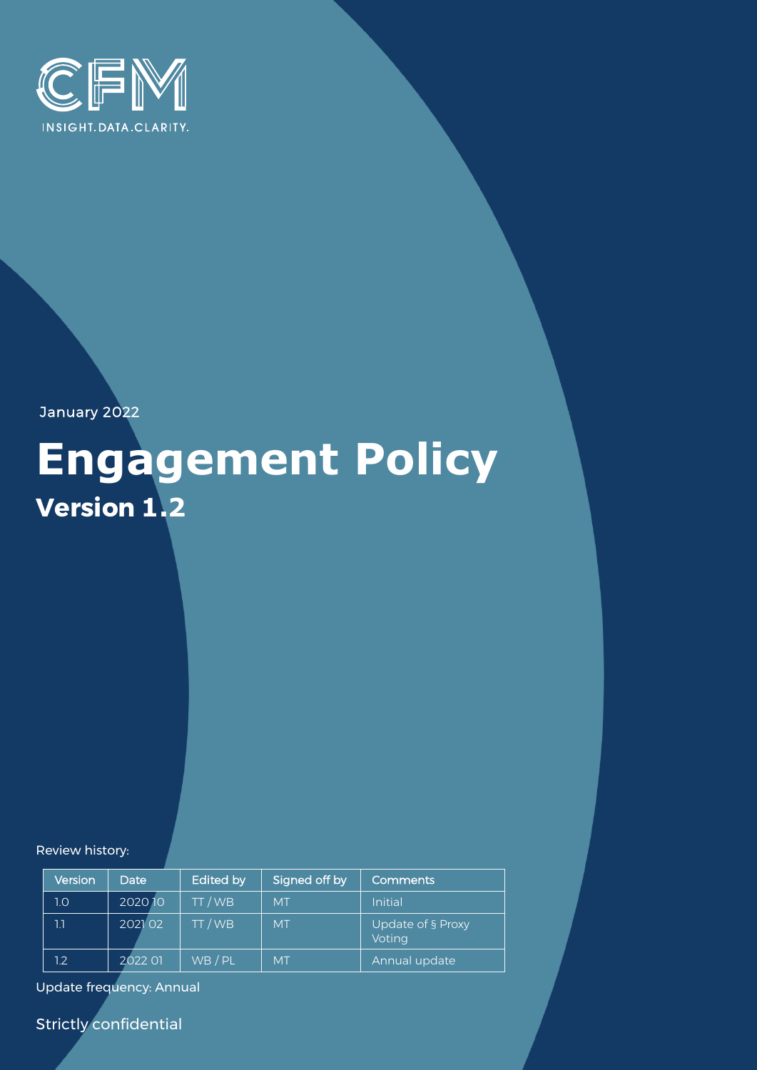

January 2022

# **Engagement Policy Version 1.2**

Review history:

| Version | Date    | Edited by | Signed off by | <b>Comments</b>             |
|---------|---------|-----------|---------------|-----------------------------|
| 1.0     | 202010  | TT/WB     | <b>MT</b>     | Initial                     |
| 1.1     | 2021 02 | TT / WB   | <b>MT</b>     | Update of § Proxy<br>Voting |
| 12      | 2022 01 | WB / PL   | <b>MT</b>     | Annual update               |

Update frequency: Annual

Strictly confidential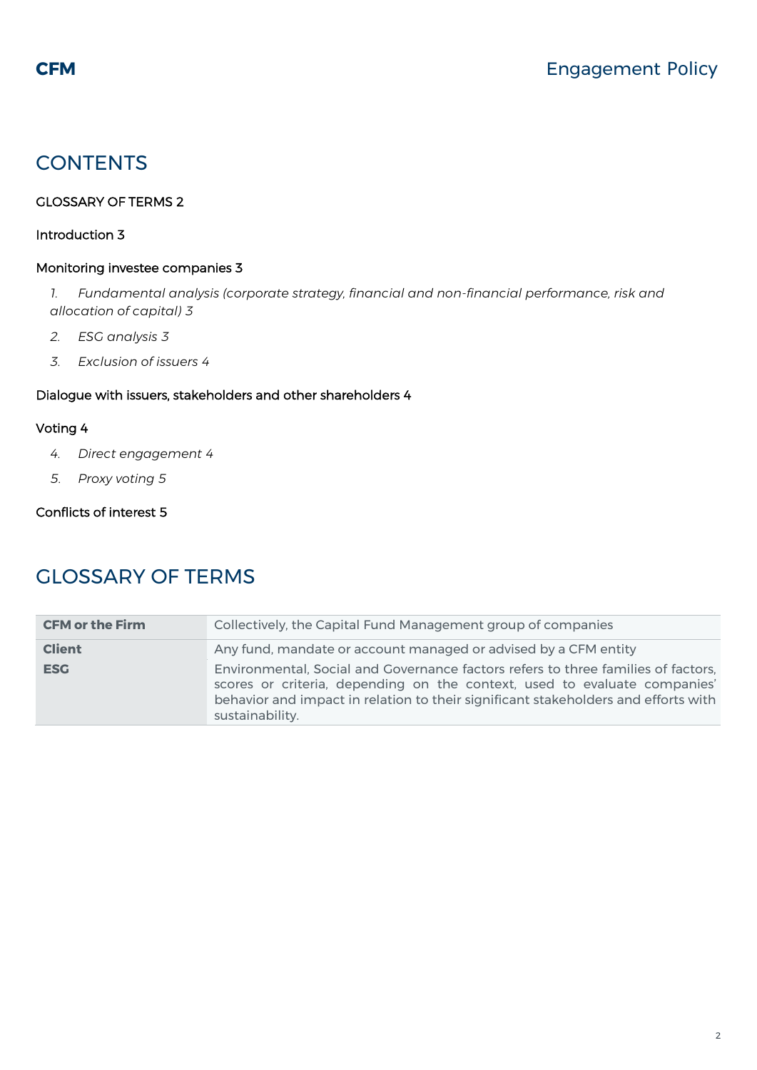# **CONTENTS**

#### [GLOSSARY OF TERMS 2](#page-1-0)

#### [Introduction 3](#page-2-0)

#### [Monitoring investee companies 3](#page-2-1)

*1. [Fundamental analysis \(corporate strategy, financial and non-financial performance, risk and](#page-2-2)  [allocation of capital\)](#page-2-2) 3*

- *2. [ESG analysis](#page-2-3) 3*
- *3. [Exclusion of issuers](#page-3-0) 4*

#### [Dialogue with issuers, stakeholders and other shareholders 4](#page-3-1)

#### [Voting 4](#page-3-2)

- *4. [Direct engagement](#page-3-3) 4*
- *5. [Proxy voting](#page-4-0) 5*

#### [Conflicts of interest 5](#page-4-1)

# <span id="page-1-0"></span>GLOSSARY OF TERMS

| <b>CFM or the Firm</b> | Collectively, the Capital Fund Management group of companies                                                                                                                                                                                                            |  |  |
|------------------------|-------------------------------------------------------------------------------------------------------------------------------------------------------------------------------------------------------------------------------------------------------------------------|--|--|
| <b>Client</b>          | Any fund, mandate or account managed or advised by a CFM entity                                                                                                                                                                                                         |  |  |
| <b>ESG</b>             | Environmental, Social and Governance factors refers to three families of factors,<br>scores or criteria, depending on the context, used to evaluate companies'<br>behavior and impact in relation to their significant stakeholders and efforts with<br>sustainability. |  |  |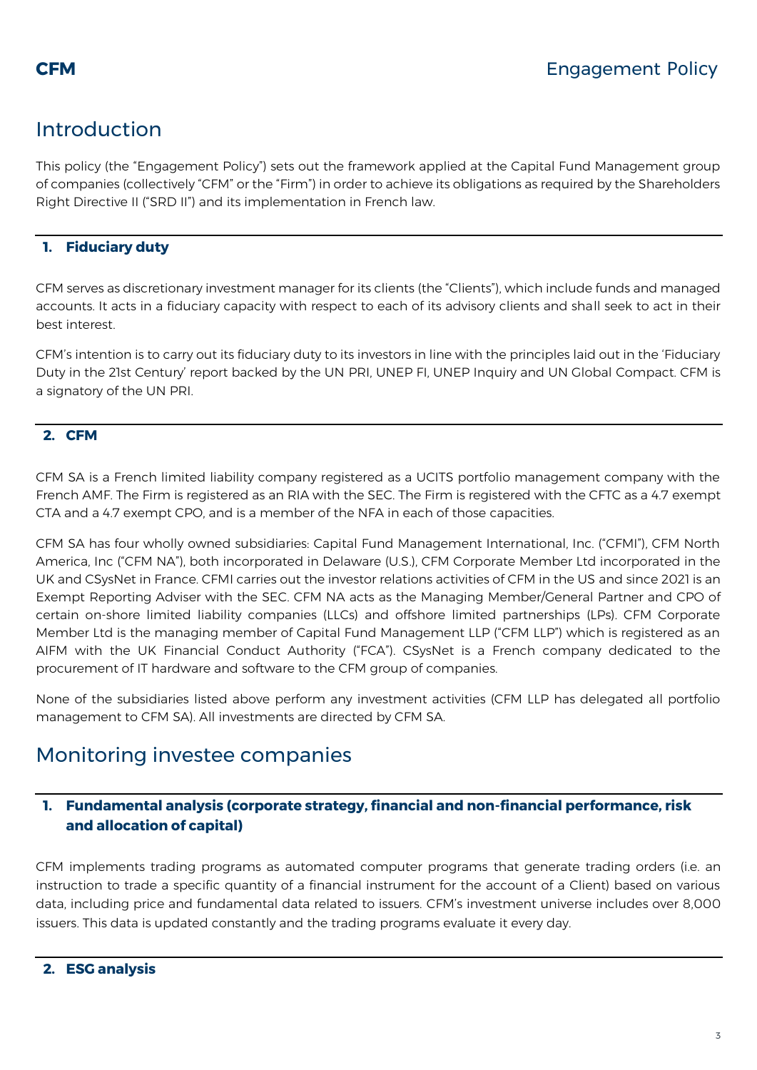# <span id="page-2-0"></span>Introduction

This policy (the "Engagement Policy") sets out the framework applied at the Capital Fund Management group of companies (collectively "CFM" or the "Firm") in order to achieve its obligations as required by the Shareholders Right Directive II ("SRD II") and its implementation in French law.

#### **1. Fiduciary duty**

CFM serves as discretionary investment manager for its clients (the "Clients"), which include funds and managed accounts. It acts in a fiduciary capacity with respect to each of its advisory clients and shall seek to act in their best interest.

CFM's intention is to carry out its fiduciary duty to its investors in line with the principles laid out in the 'Fiduciary Duty in the 21st Century' report backed by the UN PRI, UNEP FI, UNEP Inquiry and UN Global Compact. CFM is a signatory of the UN PRI.

#### **2. CFM**

CFM SA is a French limited liability company registered as a UCITS portfolio management company with the French AMF. The Firm is registered as an RIA with the SEC. The Firm is registered with the CFTC as a 4.7 exempt CTA and a 4.7 exempt CPO, and is a member of the NFA in each of those capacities.

CFM SA has four wholly owned subsidiaries: Capital Fund Management International, Inc. ("CFMI"), CFM North America, Inc ("CFM NA"), both incorporated in Delaware (U.S.), CFM Corporate Member Ltd incorporated in the UK and CSysNet in France. CFMI carries out the investor relations activities of CFM in the US and since 2021 is an Exempt Reporting Adviser with the SEC. CFM NA acts as the Managing Member/General Partner and CPO of certain on-shore limited liability companies (LLCs) and offshore limited partnerships (LPs). CFM Corporate Member Ltd is the managing member of Capital Fund Management LLP ("CFM LLP") which is registered as an AIFM with the UK Financial Conduct Authority ("FCA"). CSysNet is a French company dedicated to the procurement of IT hardware and software to the CFM group of companies.

None of the subsidiaries listed above perform any investment activities (CFM LLP has delegated all portfolio management to CFM SA). All investments are directed by CFM SA.

# <span id="page-2-1"></span>Monitoring investee companies

#### <span id="page-2-2"></span>**1. Fundamental analysis (corporate strategy, financial and non-financial performance, risk and allocation of capital)**

<span id="page-2-3"></span>CFM implements trading programs as automated computer programs that generate trading orders (i.e. an instruction to trade a specific quantity of a financial instrument for the account of a Client) based on various data, including price and fundamental data related to issuers. CFM's investment universe includes over 8,000 issuers. This data is updated constantly and the trading programs evaluate it every day.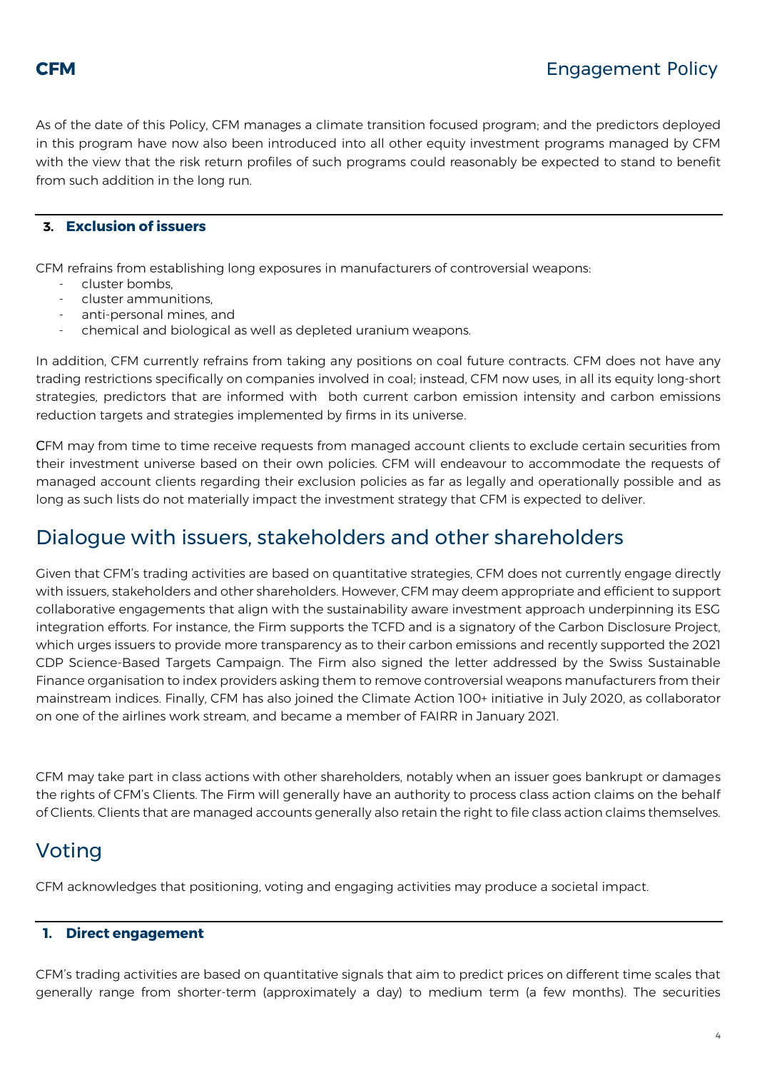

As of the date of this Policy, CFM manages a climate transition focused program; and the predictors deployed in this program have now also been introduced into all other equity investment programs managed by CFM with the view that the risk return profiles of such programs could reasonably be expected to stand to benefit from such addition in the long run.

#### <span id="page-3-0"></span>**3. Exclusion of issuers**

CFM refrains from establishing long exposures in manufacturers of controversial weapons:

- cluster bombs,
- cluster ammunitions,
- anti-personal mines, and
- chemical and biological as well as depleted uranium weapons.

In addition, CFM currently refrains from taking any positions on coal future contracts. CFM does not have any trading restrictions specifically on companies involved in coal; instead, CFM now uses, in all its equity long-short strategies, predictors that are informed with both current carbon emission intensity and carbon emissions reduction targets and strategies implemented by firms in its universe.

CFM may from time to time receive requests from managed account clients to exclude certain securities from their investment universe based on their own policies. CFM will endeavour to accommodate the requests of managed account clients regarding their exclusion policies as far as legally and operationally possible and as long as such lists do not materially impact the investment strategy that CFM is expected to deliver.

## <span id="page-3-1"></span>Dialogue with issuers, stakeholders and other shareholders

Given that CFM's trading activities are based on quantitative strategies, CFM does not currently engage directly with issuers, stakeholders and other shareholders. However, CFM may deem appropriate and efficient to support collaborative engagements that align with the sustainability aware investment approach underpinning its ESG integration efforts. For instance, the Firm supports the TCFD and is a signatory of the Carbon Disclosure Project, which urges issuers to provide more transparency as to their carbon emissions and recently supported the 2021 CDP Science-Based Targets Campaign. The Firm also signed the letter addressed by the Swiss Sustainable Finance organisation to index providers asking them to remove controversial weapons manufacturers from their mainstream indices. Finally, CFM has also joined the Climate Action 100+ initiative in July 2020, as collaborator on one of the airlines work stream, and became a member of FAIRR in January 2021.

CFM may take part in class actions with other shareholders, notably when an issuer goes bankrupt or damages the rights of CFM's Clients. The Firm will generally have an authority to process class action claims on the behalf of Clients. Clients that are managed accounts generally also retain the right to file class action claims themselves.

# <span id="page-3-2"></span>Voting

CFM acknowledges that positioning, voting and engaging activities may produce a societal impact.

#### <span id="page-3-3"></span>**1. Direct engagement**

CFM's trading activities are based on quantitative signals that aim to predict prices on different time scales that generally range from shorter-term (approximately a day) to medium term (a few months). The securities